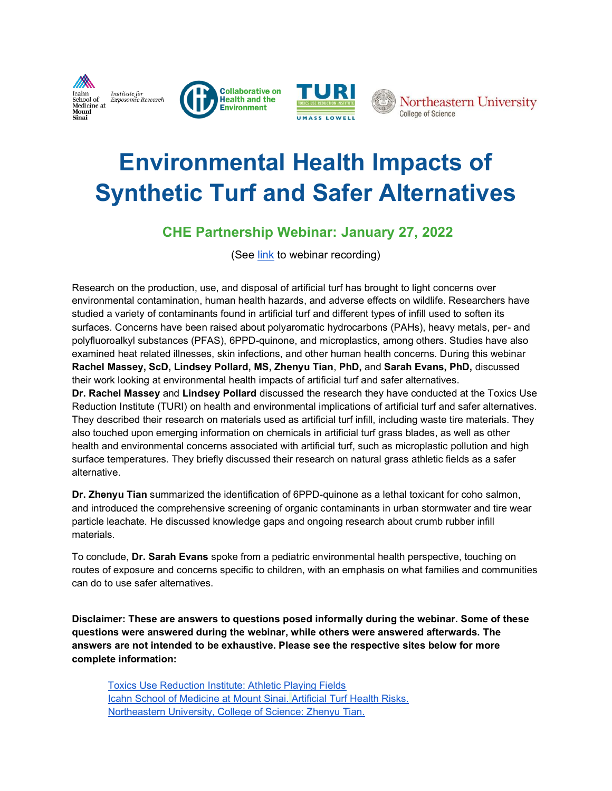







# **[Environmental Health Impacts of](https://www.healthandenvironment.org/webinars/96595)  [Synthetic Turf and Safer Alternatives](https://www.healthandenvironment.org/webinars/96595)**

#### **CHE Partnership Webinar: January 27, 2022**

(See [link](https://www.healthandenvironment.org/webinars/96595) to webinar recording)

Research on the production, use, and disposal of artificial turf has brought to light concerns over environmental contamination, human health hazards, and adverse effects on wildlife. Researchers have studied a variety of contaminants found in artificial turf and different types of infill used to soften its surfaces. Concerns have been raised about polyaromatic hydrocarbons (PAHs), heavy metals, per- and polyfluoroalkyl substances (PFAS), 6PPD-quinone, and microplastics, among others. Studies have also examined heat related illnesses, skin infections, and other human health concerns. During this webinar **Rachel Massey, ScD, Lindsey Pollard, MS, Zhenyu Tian**, **PhD,** and **Sarah Evans, PhD,** discussed their work looking at environmental health impacts of artificial turf and safer alternatives. **Dr. Rachel Massey** and **Lindsey Pollard** discussed the research they have conducted at the Toxics Use

Reduction Institute (TURI) on health and environmental implications of artificial turf and safer alternatives. They described their research on materials used as artificial turf infill, including waste tire materials. They also touched upon emerging information on chemicals in artificial turf grass blades, as well as other health and environmental concerns associated with artificial turf, such as microplastic pollution and high surface temperatures. They briefly discussed their research on natural grass athletic fields as a safer alternative.

**Dr. Zhenyu Tian** summarized the identification of 6PPD-quinone as a lethal toxicant for coho salmon, and introduced the comprehensive screening of organic contaminants in urban stormwater and tire wear particle leachate. He discussed knowledge gaps and ongoing research about crumb rubber infill materials.

To conclude, **Dr. Sarah Evans** spoke from a pediatric environmental health perspective, touching on routes of exposure and concerns specific to children, with an emphasis on what families and communities can do to use safer alternatives.

**Disclaimer: These are answers to questions posed informally during the webinar. Some of these questions were answered during the webinar, while others were answered afterwards. The answers are not intended to be exhaustive. Please see the respective sites below for more complete information:**

[Toxics Use Reduction Institute: Athletic Playing Fields](http://www.turi.org/artificialturf) [Icahn School of Medicine at Mount](https://sinaiexposomics.org/artificial-turf/) Sinai. [Artificial Turf Health Risks.](https://sinaiexposomics.org/artificial-turf/) [Northeastern University, College of Science: Zhenyu Tian.](https://cos.northeastern.edu/people/zhenyu-tian/)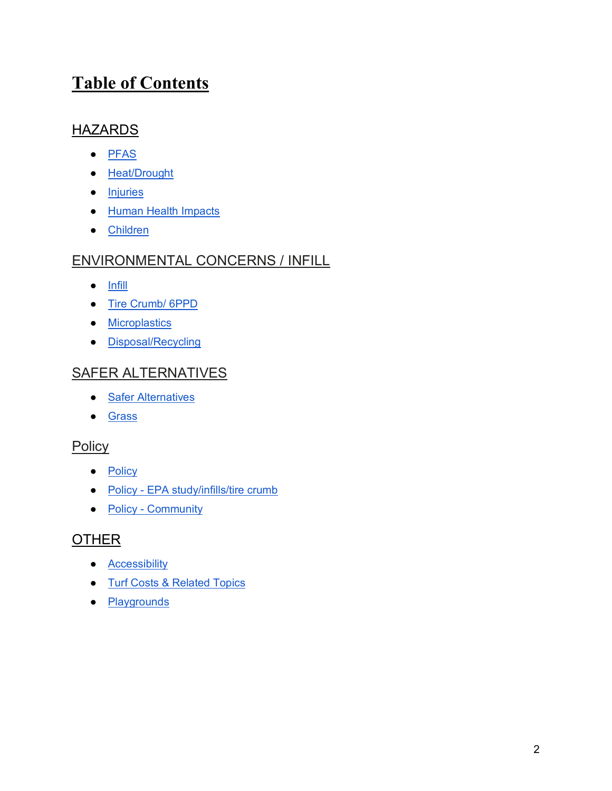#### **Table of Contents**

#### **HAZARDS**

- PFAS
- [Heat/Drought](#page-3-0)
- [Injuries](#page-5-0)
- [Human Health Impacts](#page-5-1)
- [Children](#page-21-0)

#### ENVIRONMENTAL CONCERNS / INFILL

- [Infill](#page-7-0)
- [Tire Crumb/ 6PPD](#page-10-0)
- [Microplastics](#page-11-0)
- [Disposal/Recycling](#page-18-0)

#### SAFER ALTERNATIVES

- [Safer Alternatives](#page-24-0)
- Grass

#### **Policy**

- <u>[Policy](#page-22-0)</u>
- Policy [EPA study/infills/tire crumb](#page-23-0)
- **Policy [Community](#page-18-1)**

#### **OTHER**

- [Accessibility](#page-16-0)
- [Turf Costs & Related Topics](#page-16-1)
- [Playgrounds](#page-20-0)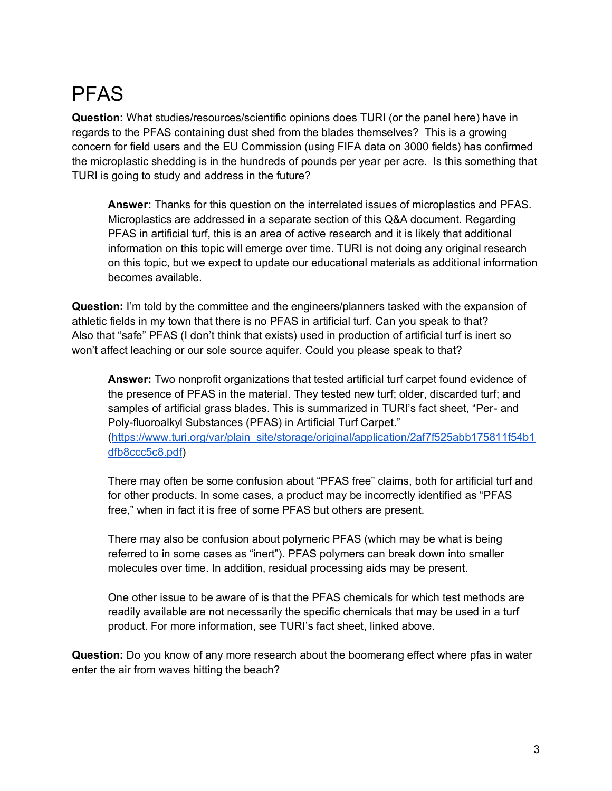# PFAS

**Question:** What studies/resources/scientific opinions does TURI (or the panel here) have in regards to the PFAS containing dust shed from the blades themselves? This is a growing concern for field users and the EU Commission (using FIFA data on 3000 fields) has confirmed the microplastic shedding is in the hundreds of pounds per year per acre. Is this something that TURI is going to study and address in the future?

**Answer:** Thanks for this question on the interrelated issues of microplastics and PFAS. Microplastics are addressed in a separate section of this Q&A document. Regarding PFAS in artificial turf, this is an area of active research and it is likely that additional information on this topic will emerge over time. TURI is not doing any original research on this topic, but we expect to update our educational materials as additional information becomes available.

**Question:** I'm told by the committee and the engineers/planners tasked with the expansion of athletic fields in my town that there is no PFAS in artificial turf. Can you speak to that? Also that "safe" PFAS (I don't think that exists) used in production of artificial turf is inert so won't affect leaching or our sole source aquifer. Could you please speak to that?

**Answer:** Two nonprofit organizations that tested artificial turf carpet found evidence of the presence of PFAS in the material. They tested new turf; older, discarded turf; and samples of artificial grass blades. This is summarized in TURI's fact sheet, "Per- and Poly-fluoroalkyl Substances (PFAS) in Artificial Turf Carpet."

[\(https://www.turi.org/var/plain\\_site/storage/original/application/2af7f525abb175811f54b1](https://www.turi.org/var/plain_site/storage/original/application/2af7f525abb175811f54b1dfb8ccc5c8.pdf) [dfb8ccc5c8.pdf\)](https://www.turi.org/var/plain_site/storage/original/application/2af7f525abb175811f54b1dfb8ccc5c8.pdf)

There may often be some confusion about "PFAS free" claims, both for artificial turf and for other products. In some cases, a product may be incorrectly identified as "PFAS free," when in fact it is free of some PFAS but others are present.

There may also be confusion about polymeric PFAS (which may be what is being referred to in some cases as "inert"). PFAS polymers can break down into smaller molecules over time. In addition, residual processing aids may be present.

One other issue to be aware of is that the PFAS chemicals for which test methods are readily available are not necessarily the specific chemicals that may be used in a turf product. For more information, see TURI's fact sheet, linked above.

**Question:** Do you know of any more research about the boomerang effect where pfas in water enter the air from waves hitting the beach?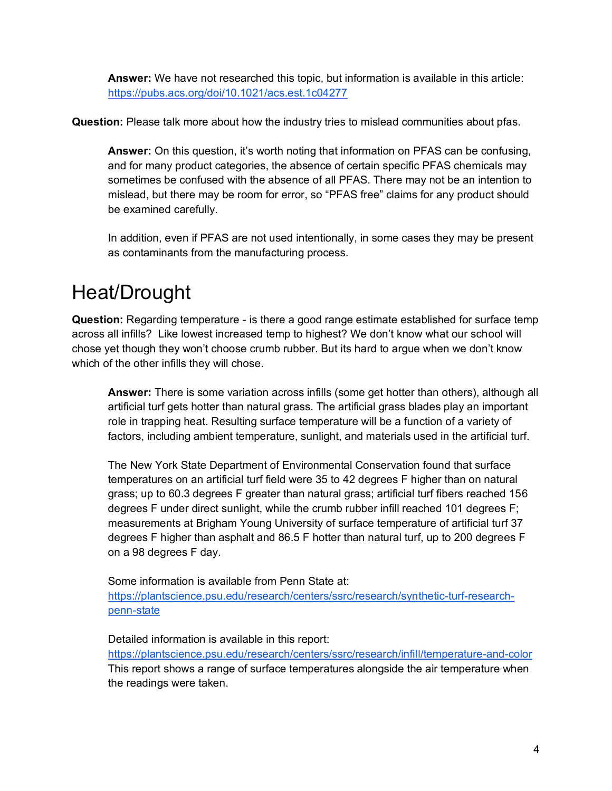**Answer:** We have not researched this topic, but information is available in this article: <https://pubs.acs.org/doi/10.1021/acs.est.1c04277>

**Question:** Please talk more about how the industry tries to mislead communities about pfas.

**Answer:** On this question, it's worth noting that information on PFAS can be confusing, and for many product categories, the absence of certain specific PFAS chemicals may sometimes be confused with the absence of all PFAS. There may not be an intention to mislead, but there may be room for error, so "PFAS free" claims for any product should be examined carefully.

In addition, even if PFAS are not used intentionally, in some cases they may be present as contaminants from the manufacturing process.

# <span id="page-3-0"></span>Heat/Drought

**Question:** Regarding temperature - is there a good range estimate established for surface temp across all infills? Like lowest increased temp to highest? We don't know what our school will chose yet though they won't choose crumb rubber. But its hard to argue when we don't know which of the other infills they will chose.

**Answer:** There is some variation across infills (some get hotter than others), although all artificial turf gets hotter than natural grass. The artificial grass blades play an important role in trapping heat. Resulting surface temperature will be a function of a variety of factors, including ambient temperature, sunlight, and materials used in the artificial turf.

The New York State Department of Environmental Conservation found that surface temperatures on an artificial turf field were 35 to 42 degrees F higher than on natural grass; up to 60.3 degrees F greater than natural grass; artificial turf fibers reached 156 degrees F under direct sunlight, while the crumb rubber infill reached 101 degrees F; measurements at Brigham Young University of surface temperature of artificial turf 37 degrees F higher than asphalt and 86.5 F hotter than natural turf, up to 200 degrees F on a 98 degrees F day.

Some information is available from Penn State at: [https://plantscience.psu.edu/research/centers/ssrc/research/synthetic-turf-research](https://plantscience.psu.edu/research/centers/ssrc/research/synthetic-turf-research-penn-state)[penn-state](https://plantscience.psu.edu/research/centers/ssrc/research/synthetic-turf-research-penn-state)

Detailed information is available in this report:

<https://plantscience.psu.edu/research/centers/ssrc/research/infill/temperature-and-color> This report shows a range of surface temperatures alongside the air temperature when the readings were taken.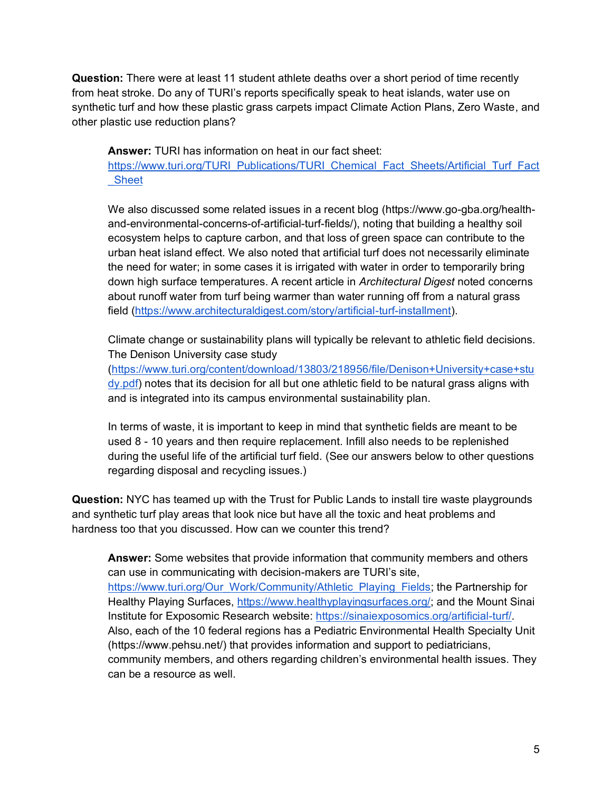**Question:** There were at least 11 student athlete deaths over a short period of time recently from heat stroke. Do any of TURI's reports specifically speak to heat islands, water use on synthetic turf and how these plastic grass carpets impact Climate Action Plans, Zero Waste, and other plastic use reduction plans?

**Answer:** TURI has information on heat in our fact sheet:

[https://www.turi.org/TURI\\_Publications/TURI\\_Chemical\\_Fact\\_Sheets/Artificial\\_Turf\\_Fact](https://www.turi.org/TURI_Publications/TURI_Chemical_Fact_Sheets/Artificial_Turf_Fact_Sheet) [\\_Sheet](https://www.turi.org/TURI_Publications/TURI_Chemical_Fact_Sheets/Artificial_Turf_Fact_Sheet)

We also discussed some related issues in a recent blog (https://www.go-gba.org/healthand-environmental-concerns-of-artificial-turf-fields/), noting that building a healthy soil ecosystem helps to capture carbon, and that loss of green space can contribute to the urban heat island effect. We also noted that artificial turf does not necessarily eliminate the need for water; in some cases it is irrigated with water in order to temporarily bring down high surface temperatures. A recent article in *Architectural Digest* noted concerns about runoff water from turf being warmer than water running off from a natural grass field [\(https://www.architecturaldigest.com/story/artificial-turf-installment\)](https://www.architecturaldigest.com/story/artificial-turf-installment).

Climate change or sustainability plans will typically be relevant to athletic field decisions. The Denison University case study

[\(https://www.turi.org/content/download/13803/218956/file/Denison+University+case+stu](https://www.turi.org/content/download/13803/218956/file/Denison+University+case+study.pdf) [dy.pdf\)](https://www.turi.org/content/download/13803/218956/file/Denison+University+case+study.pdf) notes that its decision for all but one athletic field to be natural grass aligns with and is integrated into its campus environmental sustainability plan.

In terms of waste, it is important to keep in mind that synthetic fields are meant to be used 8 - 10 years and then require replacement. Infill also needs to be replenished during the useful life of the artificial turf field. (See our answers below to other questions regarding disposal and recycling issues.)

**Question:** NYC has teamed up with the Trust for Public Lands to install tire waste playgrounds and synthetic turf play areas that look nice but have all the toxic and heat problems and hardness too that you discussed. How can we counter this trend?

**Answer:** Some websites that provide information that community members and others can use in communicating with decision-makers are TURI's site, [https://www.turi.org/Our\\_Work/Community/Athletic\\_Playing\\_Fields;](https://www.turi.org/Our_Work/Community/Athletic_Playing_Fields) the Partnership for Healthy Playing Surfaces[,](https://www.healthyplayingsurfaces.org/) [https://www.healthyplayingsurfaces.org/;](https://www.healthyplayingsurfaces.org/) and the Mount Sinai Institute for Exposomic Research website: [https://sinaiexposomics.org/artificial-turf/.](https://sinaiexposomics.org/artificial-turf/) Also, each of the 10 federal regions has a Pediatric Environmental Health Specialty Unit (https://www.pehsu.net/) that provides information and support to pediatricians, community members, and others regarding children's environmental health issues. They can be a resource as well.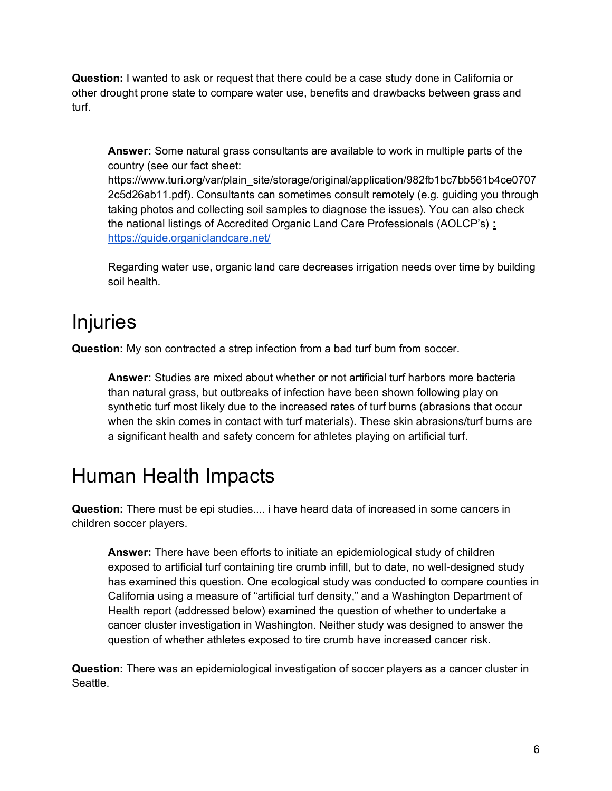**Question:** I wanted to ask or request that there could be a case study done in California or other drought prone state to compare water use, benefits and drawbacks between grass and turf.

**Answer:** Some natural grass consultants are available to work in multiple parts of the country (see our fact sheet:

https://www.turi.org/var/plain\_site/storage/original/application/982fb1bc7bb561b4ce0707 2c5d26ab11.pdf). Consultants can sometimes consult remotely (e.g. guiding you through taking photos and collecting soil samples to diagnose the issues). You can also check the national listings of Accredited Organic Land Care Professionals (AOLCP's) **:**  <https://guide.organiclandcare.net/>

Regarding water use, organic land care decreases irrigation needs over time by building soil health.

# <span id="page-5-0"></span>Injuries

**Question:** My son contracted a strep infection from a bad turf burn from soccer.

**Answer:** Studies are mixed about whether or not artificial turf harbors more bacteria than natural grass, but outbreaks of infection have been shown following play on synthetic turf most likely due to the increased rates of turf burns (abrasions that occur when the skin comes in contact with turf materials). These skin abrasions/turf burns are a significant health and safety concern for athletes playing on artificial turf.

### <span id="page-5-1"></span>Human Health Impacts

**Question:** There must be epi studies.... i have heard data of increased in some cancers in children soccer players.

**Answer:** There have been efforts to initiate an epidemiological study of children exposed to artificial turf containing tire crumb infill, but to date, no well-designed study has examined this question. One ecological study was conducted to compare counties in California using a measure of "artificial turf density," and a Washington Department of Health report (addressed below) examined the question of whether to undertake a cancer cluster investigation in Washington. Neither study was designed to answer the question of whether athletes exposed to tire crumb have increased cancer risk.

**Question:** There was an epidemiological investigation of soccer players as a cancer cluster in **Seattle.**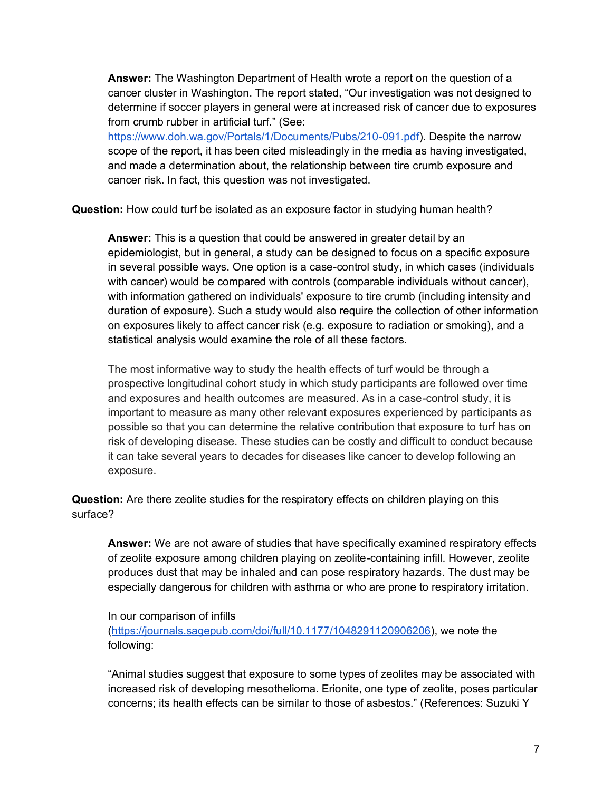**Answer:** The Washington Department of Health wrote a report on the question of a cancer cluster in Washington. The report stated, "Our investigation was not designed to determine if soccer players in general were at increased risk of cancer due to exposures from crumb rubber in artificial turf." (See: [https://www.doh.wa.gov/Portals/1/Documents/Pubs/210-091.pdf\)](https://www.doh.wa.gov/Portals/1/Documents/Pubs/210-091.pdf). Despite the narrow scope of the report, it has been cited misleadingly in the media as having investigated,

and made a determination about, the relationship between tire crumb exposure and cancer risk. In fact, this question was not investigated.

**Question:** How could turf be isolated as an exposure factor in studying human health?

**Answer:** This is a question that could be answered in greater detail by an epidemiologist, but in general, a study can be designed to focus on a specific exposure in several possible ways. One option is a case-control study, in which cases (individuals with cancer) would be compared with controls (comparable individuals without cancer), with information gathered on individuals' exposure to tire crumb (including intensity and duration of exposure). Such a study would also require the collection of other information on exposures likely to affect cancer risk (e.g. exposure to radiation or smoking), and a statistical analysis would examine the role of all these factors.

The most informative way to study the health effects of turf would be through a prospective longitudinal cohort study in which study participants are followed over time and exposures and health outcomes are measured. As in a case-control study, it is important to measure as many other relevant exposures experienced by participants as possible so that you can determine the relative contribution that exposure to turf has on risk of developing disease. These studies can be costly and difficult to conduct because it can take several years to decades for diseases like cancer to develop following an exposure.

**Question:** Are there zeolite studies for the respiratory effects on children playing on this surface?

**Answer:** We are not aware of studies that have specifically examined respiratory effects of zeolite exposure among children playing on zeolite-containing infill. However, zeolite produces dust that may be inhaled and can pose respiratory hazards. The dust may be especially dangerous for children with asthma or who are prone to respiratory irritation.

In our comparison of infills

[\(https://journals.sagepub.com/doi/full/10.1177/1048291120906206\)](https://journals.sagepub.com/doi/full/10.1177/1048291120906206), we note the following:

"Animal studies suggest that exposure to some types of zeolites may be associated with increased risk of developing mesothelioma. Erionite, one type of zeolite, poses particular concerns; its health effects can be similar to those of asbestos." (References: Suzuki Y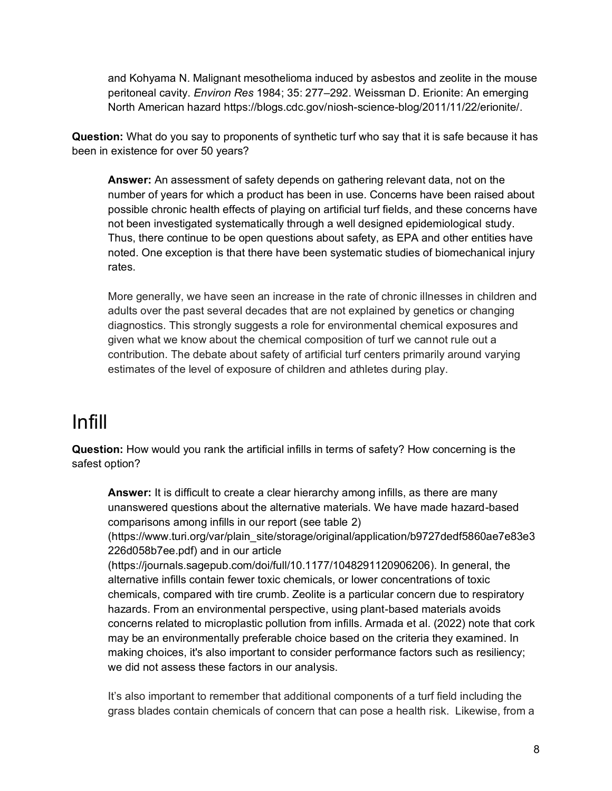and Kohyama N. Malignant mesothelioma induced by asbestos and zeolite in the mouse peritoneal cavity. *Environ Res* 1984; 35: 277–292. Weissman D. Erionite: An emerging North American hazard https://blogs.cdc.gov/niosh-science-blog/2011/11/22/erionite/.

**Question:** What do you say to proponents of synthetic turf who say that it is safe because it has been in existence for over 50 years?

**Answer:** An assessment of safety depends on gathering relevant data, not on the number of years for which a product has been in use. Concerns have been raised about possible chronic health effects of playing on artificial turf fields, and these concerns have not been investigated systematically through a well designed epidemiological study. Thus, there continue to be open questions about safety, as EPA and other entities have noted. One exception is that there have been systematic studies of biomechanical injury rates.

More generally, we have seen an increase in the rate of chronic illnesses in children and adults over the past several decades that are not explained by genetics or changing diagnostics. This strongly suggests a role for environmental chemical exposures and given what we know about the chemical composition of turf we cannot rule out a contribution. The debate about safety of artificial turf centers primarily around varying estimates of the level of exposure of children and athletes during play.

### <span id="page-7-0"></span>Infill

**Question:** How would you rank the artificial infills in terms of safety? How concerning is the safest option?

**Answer:** It is difficult to create a clear hierarchy among infills, as there are many unanswered questions about the alternative materials. We have made hazard-based comparisons among infills in our report (see table 2)

(https://www.turi.org/var/plain\_site/storage/original/application/b9727dedf5860ae7e83e3 226d058b7ee.pdf) and in our article

(https://journals.sagepub.com/doi/full/10.1177/1048291120906206). In general, the alternative infills contain fewer toxic chemicals, or lower concentrations of toxic chemicals, compared with tire crumb. Zeolite is a particular concern due to respiratory hazards. From an environmental perspective, using plant-based materials avoids concerns related to microplastic pollution from infills. Armada et al. (2022) note that cork may be an environmentally preferable choice based on the criteria they examined. In making choices, it's also important to consider performance factors such as resiliency; we did not assess these factors in our analysis.

It's also important to remember that additional components of a turf field including the grass blades contain chemicals of concern that can pose a health risk. Likewise, from a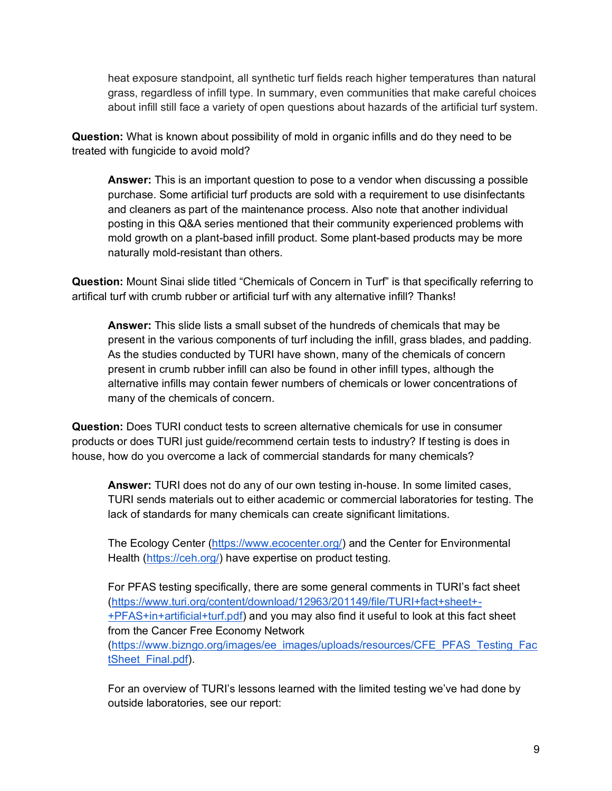heat exposure standpoint, all synthetic turf fields reach higher temperatures than natural grass, regardless of infill type. In summary, even communities that make careful choices about infill still face a variety of open questions about hazards of the artificial turf system.

**Question:** What is known about possibility of mold in organic infills and do they need to be treated with fungicide to avoid mold?

**Answer:** This is an important question to pose to a vendor when discussing a possible purchase. Some artificial turf products are sold with a requirement to use disinfectants and cleaners as part of the maintenance process. Also note that another individual posting in this Q&A series mentioned that their community experienced problems with mold growth on a plant-based infill product. Some plant-based products may be more naturally mold-resistant than others.

**Question:** Mount Sinai slide titled "Chemicals of Concern in Turf" is that specifically referring to artifical turf with crumb rubber or artificial turf with any alternative infill? Thanks!

**Answer:** This slide lists a small subset of the hundreds of chemicals that may be present in the various components of turf including the infill, grass blades, and padding. As the studies conducted by TURI have shown, many of the chemicals of concern present in crumb rubber infill can also be found in other infill types, although the alternative infills may contain fewer numbers of chemicals or lower concentrations of many of the chemicals of concern.

**Question:** Does TURI conduct tests to screen alternative chemicals for use in consumer products or does TURI just guide/recommend certain tests to industry? If testing is does in house, how do you overcome a lack of commercial standards for many chemicals?

**Answer:** TURI does not do any of our own testing in-house. In some limited cases, TURI sends materials out to either academic or commercial laboratories for testing. The lack of standards for many chemicals can create significant limitations.

The Ecology Center [\(https://www.ecocenter.org/\)](https://www.ecocenter.org/) and the Center for Environmental Health [\(https://ceh.org/\)](https://ceh.org/) have expertise on product testing.

For PFAS testing specifically, there are some general comments in TURI's fact sheet [\(https://www.turi.org/content/download/12963/201149/file/TURI+fact+sheet+-](https://www.turi.org/content/download/12963/201149/file/TURI+fact+sheet+-+PFAS+in+artificial+turf.pdf) [+PFAS+in+artificial+turf.pdf\)](https://www.turi.org/content/download/12963/201149/file/TURI+fact+sheet+-+PFAS+in+artificial+turf.pdf) and you may also find it useful to look at this fact sheet from the Cancer Free Economy Network [\(https://www.bizngo.org/images/ee\\_images/uploads/resources/CFE\\_PFAS\\_Testing\\_Fac](https://www.bizngo.org/images/ee_images/uploads/resources/CFE_PFAS_Testing_FactSheet_Final.pdf)

[tSheet\\_Final.pdf\)](https://www.bizngo.org/images/ee_images/uploads/resources/CFE_PFAS_Testing_FactSheet_Final.pdf).

For an overview of TURI's lessons learned with the limited testing we've had done by outside laboratories, see our report: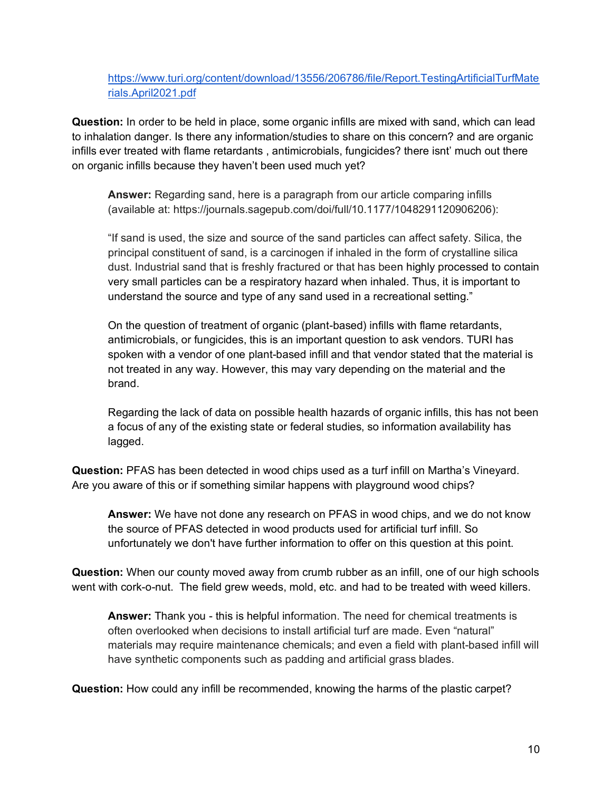[https://www.turi.org/content/download/13556/206786/file/Report.TestingArtificialTurfMate](https://www.turi.org/content/download/13556/206786/file/Report.TestingArtificialTurfMaterials.April2021.pdf) [rials.April2021.pdf](https://www.turi.org/content/download/13556/206786/file/Report.TestingArtificialTurfMaterials.April2021.pdf)

**Question:** In order to be held in place, some organic infills are mixed with sand, which can lead to inhalation danger. Is there any information/studies to share on this concern? and are organic infills ever treated with flame retardants , antimicrobials, fungicides? there isnt' much out there on organic infills because they haven't been used much yet?

**Answer:** Regarding sand, here is a paragraph from our article comparing infills (available at: https://journals.sagepub.com/doi/full/10.1177/1048291120906206):

"If sand is used, the size and source of the sand particles can affect safety. Silica, the principal constituent of sand, is a carcinogen if inhaled in the form of crystalline silica dust. Industrial sand that is freshly fractured or that has been highly processed to contain very small particles can be a respiratory hazard when inhaled. Thus, it is important to understand the source and type of any sand used in a recreational setting."

On the question of treatment of organic (plant-based) infills with flame retardants, antimicrobials, or fungicides, this is an important question to ask vendors. TURI has spoken with a vendor of one plant-based infill and that vendor stated that the material is not treated in any way. However, this may vary depending on the material and the brand.

Regarding the lack of data on possible health hazards of organic infills, this has not been a focus of any of the existing state or federal studies, so information availability has lagged.

**Question:** PFAS has been detected in wood chips used as a turf infill on Martha's Vineyard. Are you aware of this or if something similar happens with playground wood chips?

**Answer:** We have not done any research on PFAS in wood chips, and we do not know the source of PFAS detected in wood products used for artificial turf infill. So unfortunately we don't have further information to offer on this question at this point.

**Question:** When our county moved away from crumb rubber as an infill, one of our high schools went with cork-o-nut. The field grew weeds, mold, etc. and had to be treated with weed killers.

**Answer:** Thank you - this is helpful information. The need for chemical treatments is often overlooked when decisions to install artificial turf are made. Even "natural" materials may require maintenance chemicals; and even a field with plant-based infill will have synthetic components such as padding and artificial grass blades.

**Question:** How could any infill be recommended, knowing the harms of the plastic carpet?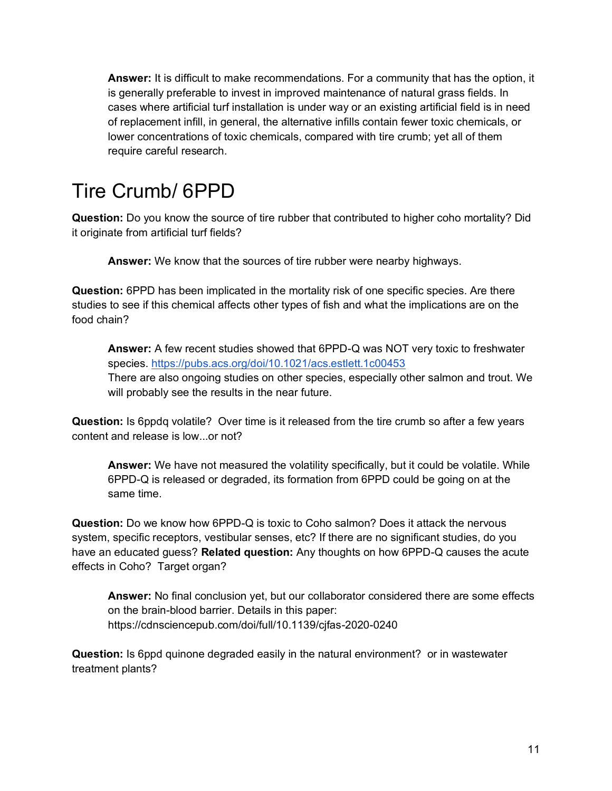**Answer:** It is difficult to make recommendations. For a community that has the option, it is generally preferable to invest in improved maintenance of natural grass fields. In cases where artificial turf installation is under way or an existing artificial field is in need of replacement infill, in general, the alternative infills contain fewer toxic chemicals, or lower concentrations of toxic chemicals, compared with tire crumb; yet all of them require careful research.

### <span id="page-10-0"></span>Tire Crumb/ 6PPD

**Question:** Do you know the source of tire rubber that contributed to higher coho mortality? Did it originate from artificial turf fields?

**Answer:** We know that the sources of tire rubber were nearby highways.

**Question:** 6PPD has been implicated in the mortality risk of one specific species. Are there studies to see if this chemical affects other types of fish and what the implications are on the food chain?

**Answer:** A few recent studies showed that 6PPD-Q was NOT very toxic to freshwater species.<https://pubs.acs.org/doi/10.1021/acs.estlett.1c00453> There are also ongoing studies on other species, especially other salmon and trout. We will probably see the results in the near future.

**Question:** Is 6ppdq volatile? Over time is it released from the tire crumb so after a few years content and release is low...or not?

**Answer:** We have not measured the volatility specifically, but it could be volatile. While 6PPD-Q is released or degraded, its formation from 6PPD could be going on at the same time.

**Question:** Do we know how 6PPD-Q is toxic to Coho salmon? Does it attack the nervous system, specific receptors, vestibular senses, etc? If there are no significant studies, do you have an educated guess? **Related question:** Any thoughts on how 6PPD-Q causes the acute effects in Coho? Target organ?

**Answer:** No final conclusion yet, but our collaborator considered there are some effects on the brain-blood barrier. Details in this paper: https://cdnsciencepub.com/doi/full/10.1139/cjfas-2020-0240

**Question:** Is 6ppd quinone degraded easily in the natural environment? or in wastewater treatment plants?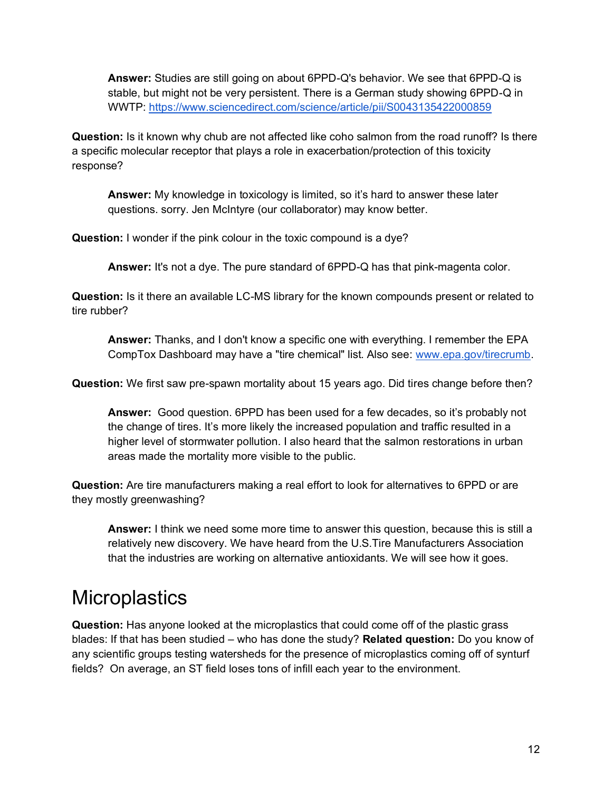**Answer:** Studies are still going on about 6PPD-Q's behavior. We see that 6PPD-Q is stable, but might not be very persistent. There is a German study showing 6PPD-Q in WWTP:<https://www.sciencedirect.com/science/article/pii/S0043135422000859>

**Question:** Is it known why chub are not affected like coho salmon from the road runoff? Is there a specific molecular receptor that plays a role in exacerbation/protection of this toxicity response?

**Answer:** My knowledge in toxicology is limited, so it's hard to answer these later questions. sorry. Jen McIntyre (our collaborator) may know better.

**Question:** I wonder if the pink colour in the toxic compound is a dye?

**Answer:** It's not a dye. The pure standard of 6PPD-Q has that pink-magenta color.

**Question:** Is it there an available LC-MS library for the known compounds present or related to tire rubber?

**Answer:** Thanks, and I don't know a specific one with everything. I remember the EPA CompTox Dashboard may have a "tire chemical" list. Also see: [www.epa.gov/tirecrumb.](http://www.epa.gov/tirecrumb)

**Question:** We first saw pre-spawn mortality about 15 years ago. Did tires change before then?

**Answer:** Good question. 6PPD has been used for a few decades, so it's probably not the change of tires. It's more likely the increased population and traffic resulted in a higher level of stormwater pollution. I also heard that the salmon restorations in urban areas made the mortality more visible to the public.

**Question:** Are tire manufacturers making a real effort to look for alternatives to 6PPD or are they mostly greenwashing?

**Answer:** I think we need some more time to answer this question, because this is still a relatively new discovery. We have heard from the U.S.Tire Manufacturers Association that the industries are working on alternative antioxidants. We will see how it goes.

### <span id="page-11-0"></span>**Microplastics**

**Question:** Has anyone looked at the microplastics that could come off of the plastic grass blades: If that has been studied – who has done the study? **Related question:** Do you know of any scientific groups testing watersheds for the presence of microplastics coming off of synturf fields? On average, an ST field loses tons of infill each year to the environment.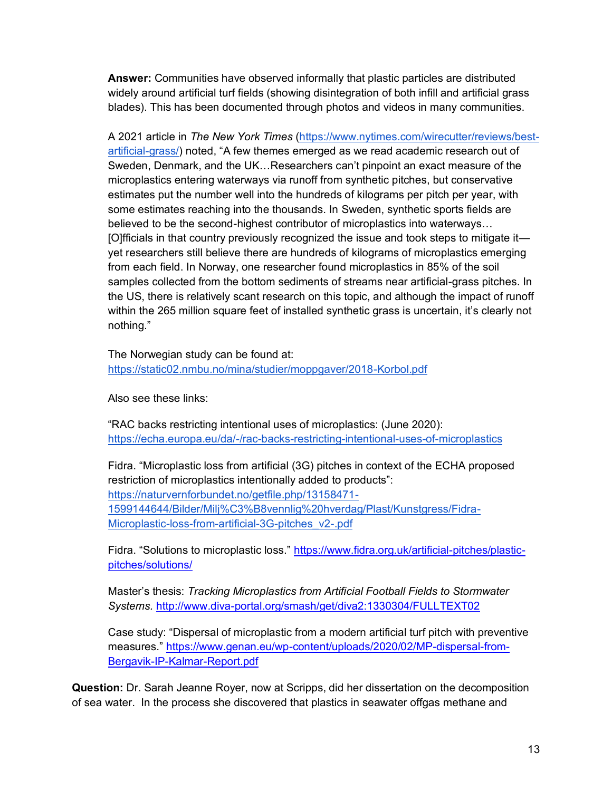**Answer:** Communities have observed informally that plastic particles are distributed widely around artificial turf fields (showing disintegration of both infill and artificial grass blades). This has been documented through photos and videos in many communities.

A 2021 article in *The New York Times* [\(https://www.nytimes.com/wirecutter/reviews/best](https://www.nytimes.com/wirecutter/reviews/best-artificial-grass/)[artificial-grass/\)](https://www.nytimes.com/wirecutter/reviews/best-artificial-grass/) noted, "A few themes emerged as we read academic research out of Sweden, Denmark, and the UK…Researchers can't pinpoint an exact measure of the microplastics entering waterways via runoff from synthetic pitches, but conservative estimates put the number well into the hundreds of kilograms per pitch per year, with some estimates reaching into the thousands. In Sweden, synthetic sports fields are believed to be the second-highest contributor of microplastics into waterways… [O]fficials in that country previously recognized the issue and took steps to mitigate it yet researchers still believe there are hundreds of kilograms of microplastics emerging from each field. In Norway, one researcher found microplastics in 85% of the soil samples collected from the bottom sediments of streams near artificial-grass pitches. In the US, there is relatively scant research on this topic, and although the impact of runoff within the 265 million square feet of installed synthetic grass is uncertain, it's clearly not nothing."

The Norwegian study can be found at[:](https://static02.nmbu.no/mina/studier/moppgaver/2018-Korbol.pdf) <https://static02.nmbu.no/mina/studier/moppgaver/2018-Korbol.pdf>

Also see these links:

"RAC backs restricting intentional uses of microplastics: (June 2020): <https://echa.europa.eu/da/-/rac-backs-restricting-intentional-uses-of-microplastics>

Fidra. "Microplastic loss from artificial (3G) pitches in context of the ECHA proposed restriction of microplastics intentionally added to products": [https://naturvernforbundet.no/getfile.php/13158471-](https://naturvernforbundet.no/getfile.php/13158471-1599144644/Bilder/Milj%C3%B8vennlig%20hverdag/Plast/Kunstgress/Fidra-Microplastic-loss-from-artificial-3G-pitches_v2-.pdf) [1599144644/Bilder/Milj%C3%B8vennlig%20hverdag/Plast/Kunstgress/Fidra-](https://naturvernforbundet.no/getfile.php/13158471-1599144644/Bilder/Milj%C3%B8vennlig%20hverdag/Plast/Kunstgress/Fidra-Microplastic-loss-from-artificial-3G-pitches_v2-.pdf)[Microplastic-loss-from-artificial-3G-pitches\\_v2-.pdf](https://naturvernforbundet.no/getfile.php/13158471-1599144644/Bilder/Milj%C3%B8vennlig%20hverdag/Plast/Kunstgress/Fidra-Microplastic-loss-from-artificial-3G-pitches_v2-.pdf)

Fidra. "Solutions to microplastic loss." [https://www.fidra.org.uk/artificial-pitches/plastic](https://www.fidra.org.uk/artificial-pitches/plastic-pitches/solutions/)[pitches/solutions/](https://www.fidra.org.uk/artificial-pitches/plastic-pitches/solutions/)

Master's thesis: *Tracking Microplastics from Artificial Football Fields to Stormwater Systems.* <http://www.diva-portal.org/smash/get/diva2:1330304/FULLTEXT02>

Case study: "Dispersal of microplastic from a modern artificial turf pitch with preventive measures." [https://www.genan.eu/wp-content/uploads/2020/02/MP-dispersal-from-](https://www.genan.eu/wp-content/uploads/2020/02/MP-dispersal-from-Bergavik-IP-Kalmar-Report.pdf)[Bergavik-IP-Kalmar-Report.pdf](https://www.genan.eu/wp-content/uploads/2020/02/MP-dispersal-from-Bergavik-IP-Kalmar-Report.pdf)

**Question:** Dr. Sarah Jeanne Royer, now at Scripps, did her dissertation on the decomposition of sea water. In the process she discovered that plastics in seawater offgas methane and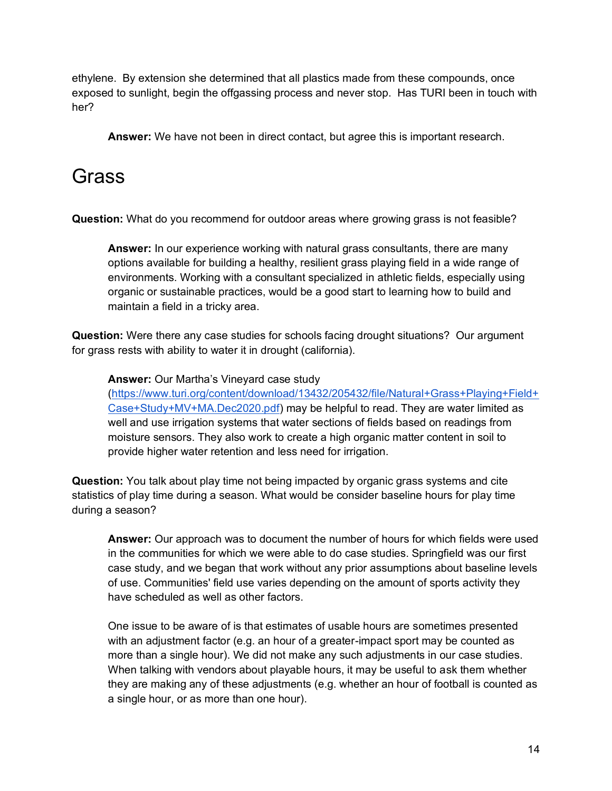ethylene. By extension she determined that all plastics made from these compounds, once exposed to sunlight, begin the offgassing process and never stop. Has TURI been in touch with her?

**Answer:** We have not been in direct contact, but agree this is important research.

#### Grass

**Question:** What do you recommend for outdoor areas where growing grass is not feasible?

**Answer:** In our experience working with natural grass consultants, there are many options available for building a healthy, resilient grass playing field in a wide range of environments. Working with a consultant specialized in athletic fields, especially using organic or sustainable practices, would be a good start to learning how to build and maintain a field in a tricky area.

**Question:** Were there any case studies for schools facing drought situations? Our argument for grass rests with ability to water it in drought (california).

**Answer:** Our Martha's Vineyard case study [\(https://www.turi.org/content/download/13432/205432/file/Natural+Grass+Playing+Field+](https://www.turi.org/content/download/13432/205432/file/Natural+Grass+Playing+Field+Case+Study+MV+MA.Dec2020.pdf) [Case+Study+MV+MA.Dec2020.pdf\)](https://www.turi.org/content/download/13432/205432/file/Natural+Grass+Playing+Field+Case+Study+MV+MA.Dec2020.pdf) may be helpful to read. They are water limited as well and use irrigation systems that water sections of fields based on readings from moisture sensors. They also work to create a high organic matter content in soil to provide higher water retention and less need for irrigation.

**Question:** You talk about play time not being impacted by organic grass systems and cite statistics of play time during a season. What would be consider baseline hours for play time during a season?

**Answer:** Our approach was to document the number of hours for which fields were used in the communities for which we were able to do case studies. Springfield was our first case study, and we began that work without any prior assumptions about baseline levels of use. Communities' field use varies depending on the amount of sports activity they have scheduled as well as other factors.

One issue to be aware of is that estimates of usable hours are sometimes presented with an adjustment factor (e.g. an hour of a greater-impact sport may be counted as more than a single hour). We did not make any such adjustments in our case studies. When talking with vendors about playable hours, it may be useful to ask them whether they are making any of these adjustments (e.g. whether an hour of football is counted as a single hour, or as more than one hour).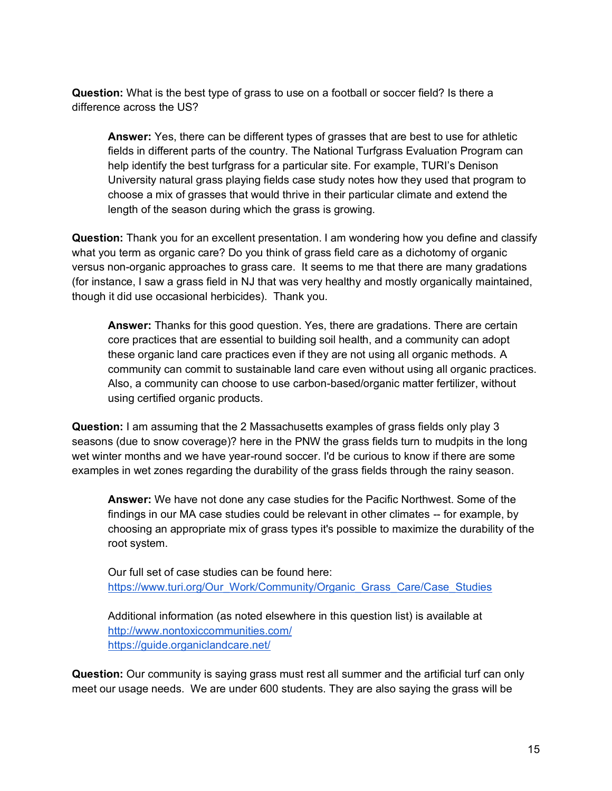**Question:** What is the best type of grass to use on a football or soccer field? Is there a difference across the US?

**Answer:** Yes, there can be different types of grasses that are best to use for athletic fields in different parts of the country. The National Turfgrass Evaluation Program can help identify the best turfgrass for a particular site. For example, TURI's Denison University natural grass playing fields case study notes how they used that program to choose a mix of grasses that would thrive in their particular climate and extend the length of the season during which the grass is growing.

**Question:** Thank you for an excellent presentation. I am wondering how you define and classify what you term as organic care? Do you think of grass field care as a dichotomy of organic versus non-organic approaches to grass care. It seems to me that there are many gradations (for instance, I saw a grass field in NJ that was very healthy and mostly organically maintained, though it did use occasional herbicides). Thank you.

**Answer:** Thanks for this good question. Yes, there are gradations. There are certain core practices that are essential to building soil health, and a community can adopt these organic land care practices even if they are not using all organic methods. A community can commit to sustainable land care even without using all organic practices. Also, a community can choose to use carbon-based/organic matter fertilizer, without using certified organic products.

**Question:** I am assuming that the 2 Massachusetts examples of grass fields only play 3 seasons (due to snow coverage)? here in the PNW the grass fields turn to mudpits in the long wet winter months and we have year-round soccer. I'd be curious to know if there are some examples in wet zones regarding the durability of the grass fields through the rainy season.

**Answer:** We have not done any case studies for the Pacific Northwest. Some of the findings in our MA case studies could be relevant in other climates -- for example, by choosing an appropriate mix of grass types it's possible to maximize the durability of the root system.

Our full set of case studies can be found here: [https://www.turi.org/Our\\_Work/Community/Organic\\_Grass\\_Care/Case\\_Studies](https://www.turi.org/Our_Work/Community/Organic_Grass_Care/Case_Studies)

Additional information (as noted elsewhere in this question list) is available at <http://www.nontoxiccommunities.com/> <https://guide.organiclandcare.net/>

**Question:** Our community is saying grass must rest all summer and the artificial turf can only meet our usage needs. We are under 600 students. They are also saying the grass will be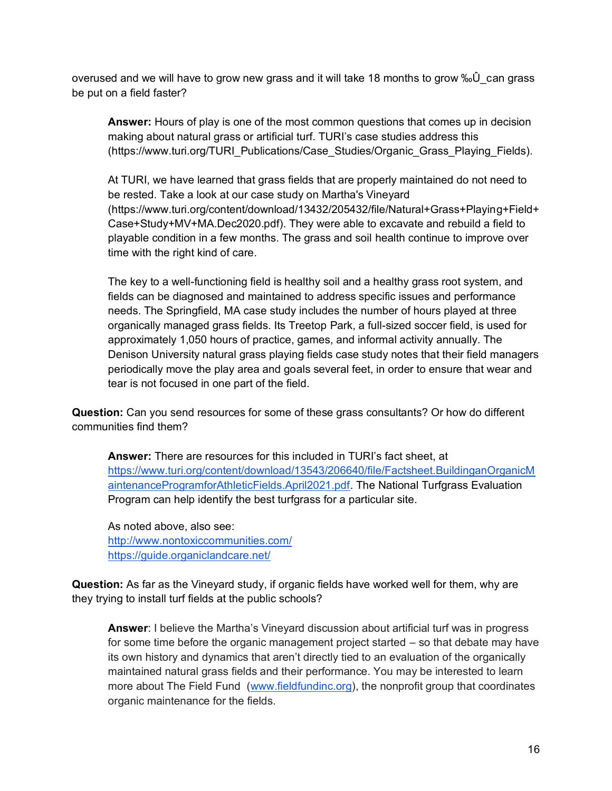overused and we will have to grow new grass and it will take 18 months to grow ‰Û can grass be put on a field faster?

**Answer:** Hours of play is one of the most common questions that comes up in decision making about natural grass or artificial turf. TURI's case studies address this (https://www.turi.org/TURI\_Publications/Case\_Studies/Organic\_Grass\_Playing\_Fields).

At TURI, we have learned that grass fields that are properly maintained do not need to be rested. Take a look at our case study on Martha's Vineyard (https://www.turi.org/content/download/13432/205432/file/Natural+Grass+Playing+Field+ Case+Study+MV+MA.Dec2020.pdf). They were able to excavate and rebuild a field to playable condition in a few months. The grass and soil health continue to improve over time with the right kind of care.

The key to a well-functioning field is healthy soil and a healthy grass root system, and fields can be diagnosed and maintained to address specific issues and performance needs. The Springfield, MA case study includes the number of hours played at three organically managed grass fields. Its Treetop Park, a full-sized soccer field, is used for approximately 1,050 hours of practice, games, and informal activity annually. The Denison University natural grass playing fields case study notes that their field managers periodically move the play area and goals several feet, in order to ensure that wear and tear is not focused in one part of the field.

**Question:** Can you send resources for some of these grass consultants? Or how do different communities find them?

**Answer:** There are resources for this included in TURI's fact sheet, a[t](https://www.turi.org/content/download/13543/206640/file/Factsheet.BuildinganOrganicMaintenanceProgramforAthleticFields.April2021.pdf) [https://www.turi.org/content/download/13543/206640/file/Factsheet.BuildinganOrganicM](https://www.turi.org/content/download/13543/206640/file/Factsheet.BuildinganOrganicMaintenanceProgramforAthleticFields.April2021.pdf) [aintenanceProgramforAthleticFields.April2021.pdf.](https://www.turi.org/content/download/13543/206640/file/Factsheet.BuildinganOrganicMaintenanceProgramforAthleticFields.April2021.pdf) The National Turfgrass Evaluation Program can help identify the best turfgrass for a particular site.

As noted above, also see: <http://www.nontoxiccommunities.com/> <https://guide.organiclandcare.net/>

**Question:** As far as the Vineyard study, if organic fields have worked well for them, why are they trying to install turf fields at the public schools?

**Answer**: I believe the Martha's Vineyard discussion about artificial turf was in progress for some time before the organic management project started – so that debate may have its own history and dynamics that aren't directly tied to an evaluation of the organically maintained natural grass fields and their performance. You may be interested to learn more about The Field Fund [\(www.fieldfundinc.org\)](http://www.fieldfundinc.org/), the nonprofit group that coordinates organic maintenance for the fields.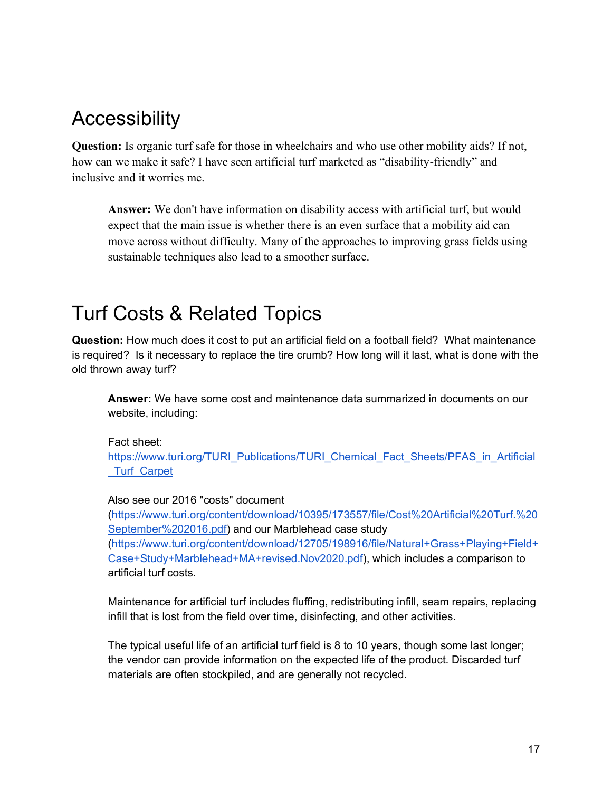### <span id="page-16-0"></span>**Accessibility**

**Question:** Is organic turf safe for those in wheelchairs and who use other mobility aids? If not, how can we make it safe? I have seen artificial turf marketed as "disability-friendly" and inclusive and it worries me.

**Answer:** We don't have information on disability access with artificial turf, but would expect that the main issue is whether there is an even surface that a mobility aid can move across without difficulty. Many of the approaches to improving grass fields using sustainable techniques also lead to a smoother surface.

### <span id="page-16-1"></span>Turf Costs & Related Topics

**Question:** How much does it cost to put an artificial field on a football field? What maintenance is required? Is it necessary to replace the tire crumb? How long will it last, what is done with the old thrown away turf?

**Answer:** We have some cost and maintenance data summarized in documents on our website, including:

Fact sheet:

[https://www.turi.org/TURI\\_Publications/TURI\\_Chemical\\_Fact\\_Sheets/PFAS\\_in\\_Artificial](https://www.turi.org/TURI_Publications/TURI_Chemical_Fact_Sheets/PFAS_in_Artificial_Turf_Carpet) [\\_Turf\\_Carpet](https://www.turi.org/TURI_Publications/TURI_Chemical_Fact_Sheets/PFAS_in_Artificial_Turf_Carpet)

#### Also see our 2016 "costs" document

[\(https://www.turi.org/content/download/10395/173557/file/Cost%20Artificial%20Turf.%20](https://www.turi.org/content/download/10395/173557/file/Cost%20Artificial%20Turf.%20September%202016.pdf) [September%202016.pdf\)](https://www.turi.org/content/download/10395/173557/file/Cost%20Artificial%20Turf.%20September%202016.pdf) and our Marblehead case study [\(https://www.turi.org/content/download/12705/198916/file/Natural+Grass+Playing+Field+](https://www.turi.org/content/download/12705/198916/file/Natural+Grass+Playing+Field+Case+Study+Marblehead+MA+revised.Nov2020.pdf) [Case+Study+Marblehead+MA+revised.Nov2020.pdf\)](https://www.turi.org/content/download/12705/198916/file/Natural+Grass+Playing+Field+Case+Study+Marblehead+MA+revised.Nov2020.pdf), which includes a comparison to artificial turf costs.

Maintenance for artificial turf includes fluffing, redistributing infill, seam repairs, replacing infill that is lost from the field over time, disinfecting, and other activities.

The typical useful life of an artificial turf field is 8 to 10 years, though some last longer; the vendor can provide information on the expected life of the product. Discarded turf materials are often stockpiled, and are generally not recycled.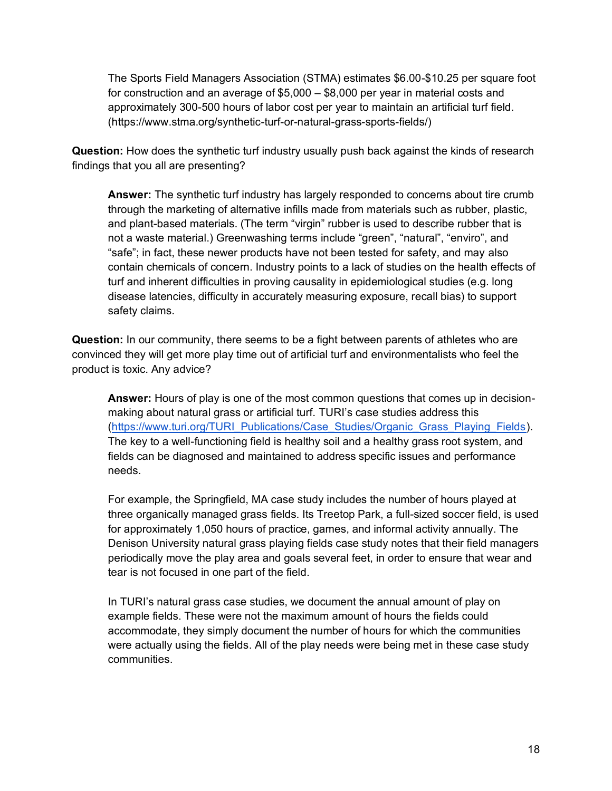The Sports Field Managers Association (STMA) estimates \$6.00-\$10.25 per square foot for construction and an average of \$5,000 – \$8,000 per year in material costs and approximately 300-500 hours of labor cost per year to maintain an artificial turf field. (https://www.stma.org/synthetic-turf-or-natural-grass-sports-fields/)

**Question:** How does the synthetic turf industry usually push back against the kinds of research findings that you all are presenting?

**Answer:** The synthetic turf industry has largely responded to concerns about tire crumb through the marketing of alternative infills made from materials such as rubber, plastic, and plant-based materials. (The term "virgin" rubber is used to describe rubber that is not a waste material.) Greenwashing terms include "green", "natural", "enviro", and "safe"; in fact, these newer products have not been tested for safety, and may also contain chemicals of concern. Industry points to a lack of studies on the health effects of turf and inherent difficulties in proving causality in epidemiological studies (e.g. long disease latencies, difficulty in accurately measuring exposure, recall bias) to support safety claims.

**Question:** In our community, there seems to be a fight between parents of athletes who are convinced they will get more play time out of artificial turf and environmentalists who feel the product is toxic. Any advice?

**Answer:** Hours of play is one of the most common questions that comes up in decisionmaking about natural grass or artificial turf. TURI's case studies address this [\(https://www.turi.org/TURI\\_Publications/Case\\_Studies/Organic\\_Grass\\_Playing\\_Fields\)](https://www.turi.org/TURI_Publications/Case_Studies/Organic_Grass_Playing_Fields). The key to a well-functioning field is healthy soil and a healthy grass root system, and fields can be diagnosed and maintained to address specific issues and performance needs.

For example, the Springfield, MA case study includes the number of hours played at three organically managed grass fields. Its Treetop Park, a full-sized soccer field, is used for approximately 1,050 hours of practice, games, and informal activity annually. The Denison University natural grass playing fields case study notes that their field managers periodically move the play area and goals several feet, in order to ensure that wear and tear is not focused in one part of the field.

In TURI's natural grass case studies, we document the annual amount of play on example fields. These were not the maximum amount of hours the fields could accommodate, they simply document the number of hours for which the communities were actually using the fields. All of the play needs were being met in these case study communities.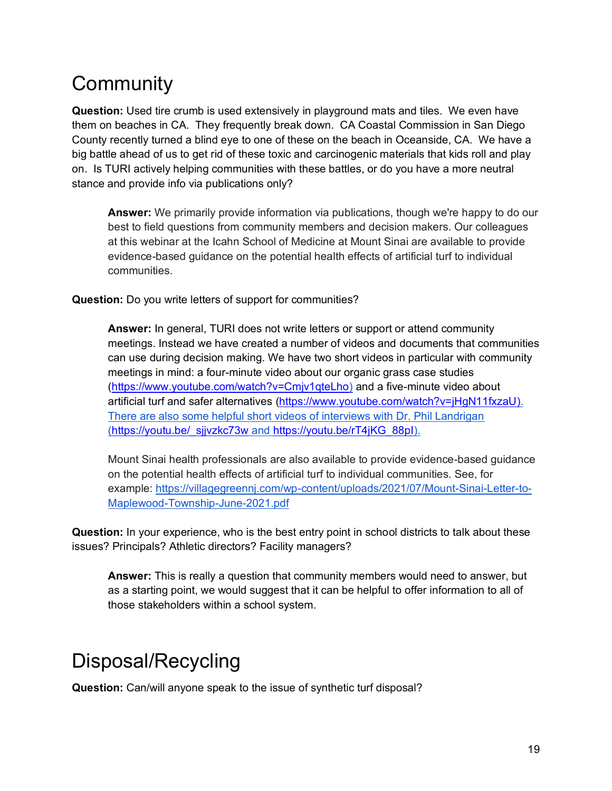# <span id="page-18-1"></span>**Community**

**Question:** Used tire crumb is used extensively in playground mats and tiles. We even have them on beaches in CA. They frequently break down. CA Coastal Commission in San Diego County recently turned a blind eye to one of these on the beach in Oceanside, CA. We have a big battle ahead of us to get rid of these toxic and carcinogenic materials that kids roll and play on. Is TURI actively helping communities with these battles, or do you have a more neutral stance and provide info via publications only?

**Answer:** We primarily provide information via publications, though we're happy to do our best to field questions from community members and decision makers. Our colleagues at this webinar at the Icahn School of Medicine at Mount Sinai are available to provide evidence-based guidance on the potential health effects of artificial turf to individual communities.

**Question:** Do you write letters of support for communities?

**Answer:** In general, TURI does not write letters or support or attend community meetings. Instead we have created a number of videos and documents that communities can use during decision making. We have two short videos in particular with community meetings in mind: a four-minute video about our organic grass case studies [\(https://www.youtube.com/watch?v=Cmjv1qteLho\)](https://www.youtube.com/watch?v=Cmjv1qteLho) and a five-minute video about artificial turf and [s](https://www.youtube.com/watch?v=jHgN11fxzaU)afer alternatives [\(https://www.youtube.com/watch?v=jHgN11fxzaU\).](https://www.youtube.com/watch?v=jHgN11fxzaU)) There are also some helpful short videos of interviews with Dr. Phil Landrigan (https://youtu.be/\_sijvzkc73w and [https://youtu.be/rT4jKG\\_88pI\)](https://youtu.be/rT4jKG_88pI).

Mount Sinai health professionals are also available to provide evidence-based guidance on the potential health effects of artificial turf to individual communities. See, for example: [https://villagegreennj.com/wp-content/uploads/2021/07/Mount-Sinai-Letter-to-](https://villagegreennj.com/wp-content/uploads/2021/07/Mount-Sinai-Letter-to-Maplewood-Township-June-2021.pdf)[Maplewood-Township-June-2021.pdf](https://villagegreennj.com/wp-content/uploads/2021/07/Mount-Sinai-Letter-to-Maplewood-Township-June-2021.pdf)

**Question:** In your experience, who is the best entry point in school districts to talk about these issues? Principals? Athletic directors? Facility managers?

**Answer:** This is really a question that community members would need to answer, but as a starting point, we would suggest that it can be helpful to offer information to all of those stakeholders within a school system.

# <span id="page-18-0"></span>Disposal/Recycling

**Question:** Can/will anyone speak to the issue of synthetic turf disposal?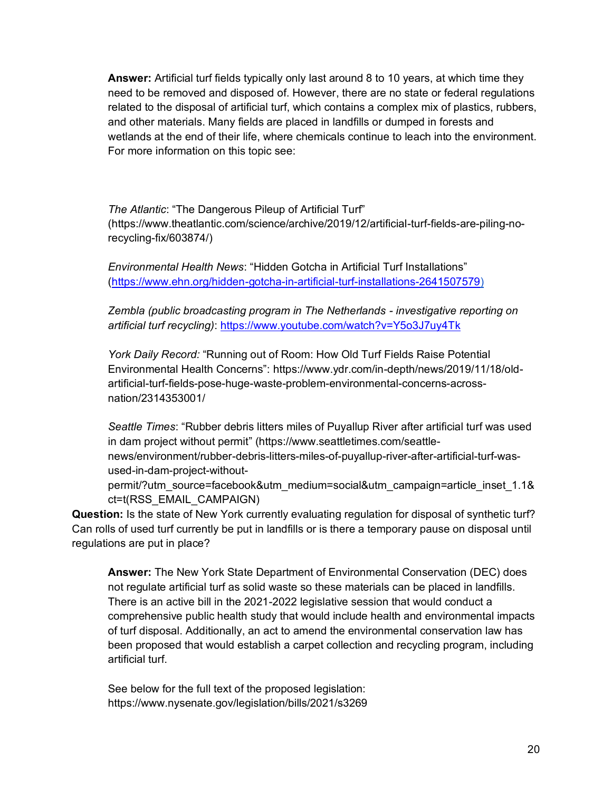**Answer:** Artificial turf fields typically only last around 8 to 10 years, at which time they need to be removed and disposed of. However, there are no state or federal regulations related to the disposal of artificial turf, which contains a complex mix of plastics, rubbers, and other materials. Many fields are placed in landfills or dumped in forests and wetlands at the end of their life, where chemicals continue to leach into the environment. For more information on this topic see:

*The Atlantic*: "The Dangerous Pileup of Artificial Turf" (https://www.theatlantic.com/science/archive/2019/12/artificial-turf-fields-are-piling-norecycling-fix/603874/)

*Environmental Health News*: "Hidden Gotcha in Artificial Turf Installations" [\(https://www.ehn.org/hidden-gotcha-in-artificial-turf-installations-2641507579\)](https://www.ehn.org/hidden-gotcha-in-artificial-turf-installations-2641507579)

*Zembla (public broadcasting program in The Netherlands - investigative reporting on artificial turf recycling)*:<https://www.youtube.com/watch?v=Y5o3J7uy4Tk>

*York Daily Record:* "Running out of Room: How Old Turf Fields Raise Potential Environmental Health Concerns": https://www.ydr.com/in-depth/news/2019/11/18/oldartificial-turf-fields-pose-huge-waste-problem-environmental-concerns-acrossnation/2314353001/

*Seattle Times*: "Rubber debris litters miles of Puyallup River after artificial turf was used in dam project without permit" (https://www.seattletimes.com/seattlenews/environment/rubber-debris-litters-miles-of-puyallup-river-after-artificial-turf-wasused-in-dam-project-without-

permit/?utm\_source=facebook&utm\_medium=social&utm\_campaign=article\_inset\_1.1& ct=t(RSS\_EMAIL\_CAMPAIGN)

**Question:** Is the state of New York currently evaluating regulation for disposal of synthetic turf? Can rolls of used turf currently be put in landfills or is there a temporary pause on disposal until regulations are put in place?

**Answer:** The New York State Department of Environmental Conservation (DEC) does not regulate artificial turf as solid waste so these materials can be placed in landfills. There is an active bill in the 2021-2022 legislative session that would conduct a comprehensive public health study that would include health and environmental impacts of turf disposal. Additionally, an act to amend the environmental conservation law has been proposed that would establish a carpet collection and recycling program, including artificial turf.

See below for the full text of the proposed legislation: https://www.nysenate.gov/legislation/bills/2021/s3269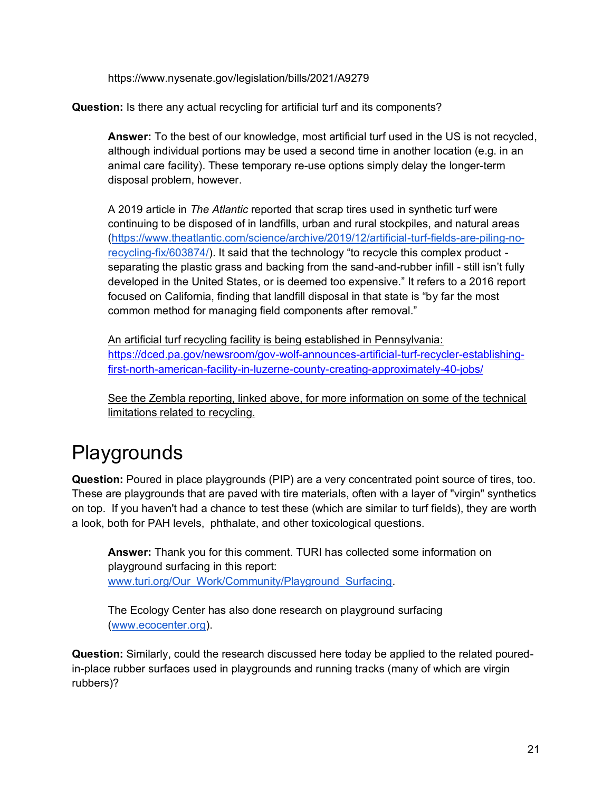https://www.nysenate.gov/legislation/bills/2021/A9279

**Question:** Is there any actual recycling for artificial turf and its components?

**Answer:** To the best of our knowledge, most artificial turf used in the US is not recycled, although individual portions may be used a second time in another location (e.g. in an animal care facility). These temporary re-use options simply delay the longer-term disposal problem, however.

A 2019 article in *The Atlantic* reported that scrap tires used in synthetic turf were continuing to be disposed of in landfills, urban and rural stockpiles, and natural areas [\(https://www.theatlantic.com/science/archive/2019/12/artificial-turf-fields-are-piling-no](https://www.theatlantic.com/science/archive/2019/12/artificial-turf-fields-are-piling-no-recycling-fix/603874/)[recycling-fix/603874/](https://www.theatlantic.com/science/archive/2019/12/artificial-turf-fields-are-piling-no-recycling-fix/603874/)). It said that the technology "to recycle this complex product separating the plastic grass and backing from the sand-and-rubber infill - still isn't fully developed in the United States, or is deemed too expensive." It refers to a 2016 report focused on California, finding that landfill disposal in that state is "by far the most common method for managing field components after removal."

An artificial turf recycling facility is being established in Pennsylvania: [https://dced.pa.gov/newsroom/gov-wolf-announces-artificial-turf-recycler-establishing](https://dced.pa.gov/newsroom/gov-wolf-announces-artificial-turf-recycler-establishing-first-north-american-facility-in-luzerne-county-creating-approximately-40-jobs/)[first-north-american-facility-in-luzerne-county-creating-approximately-40-jobs/](https://dced.pa.gov/newsroom/gov-wolf-announces-artificial-turf-recycler-establishing-first-north-american-facility-in-luzerne-county-creating-approximately-40-jobs/)

See the Zembla reporting, linked above, for more information on some of the technical limitations related to recycling.

# <span id="page-20-0"></span>Playgrounds

**Question:** Poured in place playgrounds (PIP) are a very concentrated point source of tires, too. These are playgrounds that are paved with tire materials, often with a layer of "virgin" synthetics on top. If you haven't had a chance to test these (which are similar to turf fields), they are worth a look, both for PAH levels, phthalate, and other toxicological questions.

**Answer:** Thank you for this comment. TURI has collected some information on playground surfacing in this report: [www.turi.org/Our\\_Work/Community/Playground\\_Surfacing.](http://www.turi.org/Our_Work/Community/Playground_Surfacing)

The Ecology Center has also done research on playground surfacing [\(www.ecocenter.org\)](http://www.ecocenter.org/).

**Question:** Similarly, could the research discussed here today be applied to the related pouredin-place rubber surfaces used in playgrounds and running tracks (many of which are virgin rubbers)?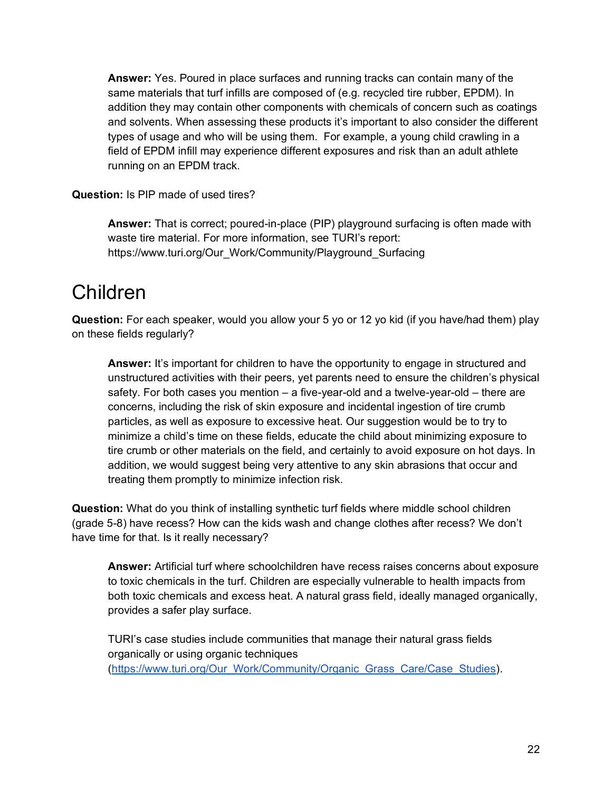**Answer:** Yes. Poured in place surfaces and running tracks can contain many of the same materials that turf infills are composed of (e.g. recycled tire rubber, EPDM). In addition they may contain other components with chemicals of concern such as coatings and solvents. When assessing these products it's important to also consider the different types of usage and who will be using them. For example, a young child crawling in a field of EPDM infill may experience different exposures and risk than an adult athlete running on an EPDM track.

**Question:** Is PIP made of used tires?

**Answer:** That is correct; poured-in-place (PIP) playground surfacing is often made with waste tire material. For more information, see TURI's report: https://www.turi.org/Our\_Work/Community/Playground\_Surfacing

#### <span id="page-21-0"></span>Children

**Question:** For each speaker, would you allow your 5 yo or 12 yo kid (if you have/had them) play on these fields regularly?

**Answer:** It's important for children to have the opportunity to engage in structured and unstructured activities with their peers, yet parents need to ensure the children's physical safety. For both cases you mention – a five-year-old and a twelve-year-old – there are concerns, including the risk of skin exposure and incidental ingestion of tire crumb particles, as well as exposure to excessive heat. Our suggestion would be to try to minimize a child's time on these fields, educate the child about minimizing exposure to tire crumb or other materials on the field, and certainly to avoid exposure on hot days. In addition, we would suggest being very attentive to any skin abrasions that occur and treating them promptly to minimize infection risk.

**Question:** What do you think of installing synthetic turf fields where middle school children (grade 5-8) have recess? How can the kids wash and change clothes after recess? We don't have time for that. Is it really necessary?

**Answer:** Artificial turf where schoolchildren have recess raises concerns about exposure to toxic chemicals in the turf. Children are especially vulnerable to health impacts from both toxic chemicals and excess heat. A natural grass field, ideally managed organically, provides a safer play surface.

TURI's case studies include communities that manage their natural grass fields organically or using organic techniques [\(https://www.turi.org/Our\\_Work/Community/Organic\\_Grass\\_Care/Case\\_Studies\)](https://www.turi.org/Our_Work/Community/Organic_Grass_Care/Case_Studies).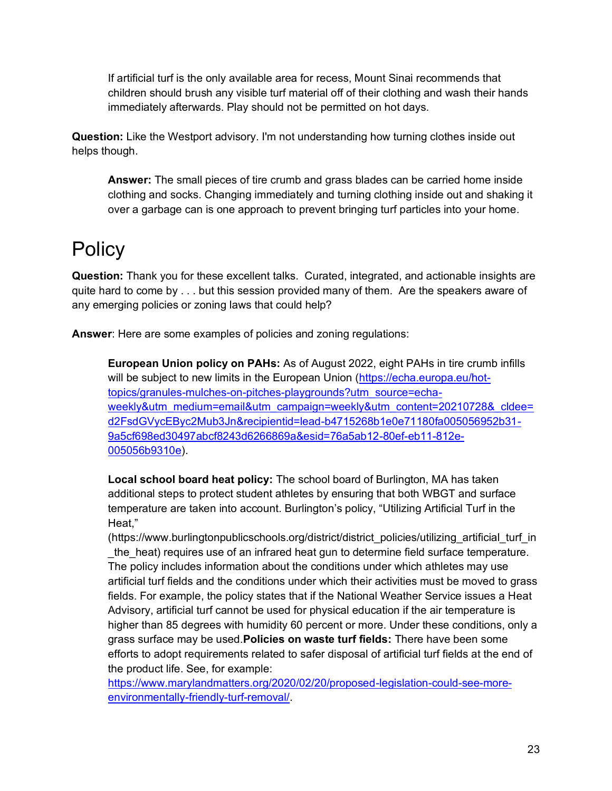If artificial turf is the only available area for recess, Mount Sinai recommends that children should brush any visible turf material off of their clothing and wash their hands immediately afterwards. Play should not be permitted on hot days.

**Question:** Like the Westport advisory. I'm not understanding how turning clothes inside out helps though.

**Answer:** The small pieces of tire crumb and grass blades can be carried home inside clothing and socks. Changing immediately and turning clothing inside out and shaking it over a garbage can is one approach to prevent bringing turf particles into your home.

# <span id="page-22-0"></span>**Policy**

**Question:** Thank you for these excellent talks. Curated, integrated, and actionable insights are quite hard to come by . . . but this session provided many of them. Are the speakers aware of any emerging policies or zoning laws that could help?

**Answer**: Here are some examples of policies and zoning regulations:

**European Union policy on PAHs:** As of August 2022, eight PAHs in tire crumb infills will be subject to new limits in the European Union [\(https://echa.europa.eu/hot](https://echa.europa.eu/hot-topics/granules-mulches-on-pitches-playgrounds?utm_source=echa-weekly&utm_medium=email&utm_campaign=weekly&utm_content=20210728&_cldee=d2FsdGVycEByc2Mub3Jn&recipientid=lead-b4715268b1e0e71180fa005056952b31-9a5cf698ed30497abcf8243d6266869a&esid=76a5ab12-80ef-eb11-812e-005056b9310e)[topics/granules-mulches-on-pitches-playgrounds?utm\\_source=echa](https://echa.europa.eu/hot-topics/granules-mulches-on-pitches-playgrounds?utm_source=echa-weekly&utm_medium=email&utm_campaign=weekly&utm_content=20210728&_cldee=d2FsdGVycEByc2Mub3Jn&recipientid=lead-b4715268b1e0e71180fa005056952b31-9a5cf698ed30497abcf8243d6266869a&esid=76a5ab12-80ef-eb11-812e-005056b9310e)[weekly&utm\\_medium=email&utm\\_campaign=weekly&utm\\_content=20210728&\\_cldee=](https://echa.europa.eu/hot-topics/granules-mulches-on-pitches-playgrounds?utm_source=echa-weekly&utm_medium=email&utm_campaign=weekly&utm_content=20210728&_cldee=d2FsdGVycEByc2Mub3Jn&recipientid=lead-b4715268b1e0e71180fa005056952b31-9a5cf698ed30497abcf8243d6266869a&esid=76a5ab12-80ef-eb11-812e-005056b9310e) [d2FsdGVycEByc2Mub3Jn&recipientid=lead-b4715268b1e0e71180fa005056952b31-](https://echa.europa.eu/hot-topics/granules-mulches-on-pitches-playgrounds?utm_source=echa-weekly&utm_medium=email&utm_campaign=weekly&utm_content=20210728&_cldee=d2FsdGVycEByc2Mub3Jn&recipientid=lead-b4715268b1e0e71180fa005056952b31-9a5cf698ed30497abcf8243d6266869a&esid=76a5ab12-80ef-eb11-812e-005056b9310e) [9a5cf698ed30497abcf8243d6266869a&esid=76a5ab12-80ef-eb11-812e-](https://echa.europa.eu/hot-topics/granules-mulches-on-pitches-playgrounds?utm_source=echa-weekly&utm_medium=email&utm_campaign=weekly&utm_content=20210728&_cldee=d2FsdGVycEByc2Mub3Jn&recipientid=lead-b4715268b1e0e71180fa005056952b31-9a5cf698ed30497abcf8243d6266869a&esid=76a5ab12-80ef-eb11-812e-005056b9310e)[005056b9310e\)](https://echa.europa.eu/hot-topics/granules-mulches-on-pitches-playgrounds?utm_source=echa-weekly&utm_medium=email&utm_campaign=weekly&utm_content=20210728&_cldee=d2FsdGVycEByc2Mub3Jn&recipientid=lead-b4715268b1e0e71180fa005056952b31-9a5cf698ed30497abcf8243d6266869a&esid=76a5ab12-80ef-eb11-812e-005056b9310e).

**Local school board heat policy:** The school board of Burlington, MA has taken additional steps to protect student athletes by ensuring that both WBGT and surface temperature are taken into account. Burlington's policy, "Utilizing Artificial Turf in the Heat,"

(https://www.burlingtonpublicschools.org/district/district\_policies/utilizing\_artificial\_turf\_in \_the\_heat) requires use of an infrared heat gun to determine field surface temperature. The policy includes information about the conditions under which athletes may use artificial turf fields and the conditions under which their activities must be moved to grass fields. For example, the policy states that if the National Weather Service issues a Heat Advisory, artificial turf cannot be used for physical education if the air temperature is higher than 85 degrees with humidity 60 percent or more. Under these conditions, only a grass surface may be used.**Policies on waste turf fields:** There have been some efforts to adopt requirements related to safer disposal of artificial turf fields at the end of the product life. See, for example:

[https://www.marylandmatters.org/2020/02/20/proposed-legislation-could-see-more](https://www.marylandmatters.org/2020/02/20/proposed-legislation-could-see-more-environmentally-friendly-turf-removal/)[environmentally-friendly-turf-removal/.](https://www.marylandmatters.org/2020/02/20/proposed-legislation-could-see-more-environmentally-friendly-turf-removal/)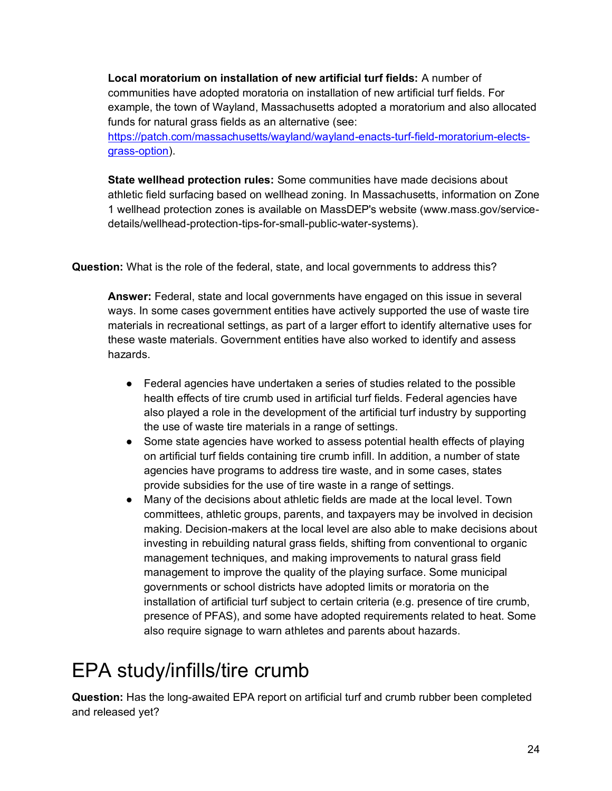**Local moratorium on installation of new artificial turf fields:** A number of communities have adopted moratoria on installation of new artificial turf fields. For example, the town of Wayland, Massachusetts adopted a moratorium and also allocated funds for natural grass fields as an alternative (see:

[https://patch.com/massachusetts/wayland/wayland-enacts-turf-field-moratorium-elects](https://patch.com/massachusetts/wayland/wayland-enacts-turf-field-moratorium-elects-grass-option)[grass-option\)](https://patch.com/massachusetts/wayland/wayland-enacts-turf-field-moratorium-elects-grass-option).

**State wellhead protection rules:** Some communities have made decisions about athletic field surfacing based on wellhead zoning. In Massachusetts, information on Zone 1 wellhead protection zones is available on MassDEP's website (www.mass.gov/servicedetails/wellhead-protection-tips-for-small-public-water-systems).

**Question:** What is the role of the federal, state, and local governments to address this?

**Answer:** Federal, state and local governments have engaged on this issue in several ways. In some cases government entities have actively supported the use of waste tire materials in recreational settings, as part of a larger effort to identify alternative uses for these waste materials. Government entities have also worked to identify and assess hazards.

- Federal agencies have undertaken a series of studies related to the possible health effects of tire crumb used in artificial turf fields. Federal agencies have also played a role in the development of the artificial turf industry by supporting the use of waste tire materials in a range of settings.
- Some state agencies have worked to assess potential health effects of playing on artificial turf fields containing tire crumb infill. In addition, a number of state agencies have programs to address tire waste, and in some cases, states provide subsidies for the use of tire waste in a range of settings.
- Many of the decisions about athletic fields are made at the local level. Town committees, athletic groups, parents, and taxpayers may be involved in decision making. Decision-makers at the local level are also able to make decisions about investing in rebuilding natural grass fields, shifting from conventional to organic management techniques, and making improvements to natural grass field management to improve the quality of the playing surface. Some municipal governments or school districts have adopted limits or moratoria on the installation of artificial turf subject to certain criteria (e.g. presence of tire crumb, presence of PFAS), and some have adopted requirements related to heat. Some also require signage to warn athletes and parents about hazards.

# <span id="page-23-0"></span>EPA study/infills/tire crumb

**Question:** Has the long-awaited EPA report on artificial turf and crumb rubber been completed and released yet?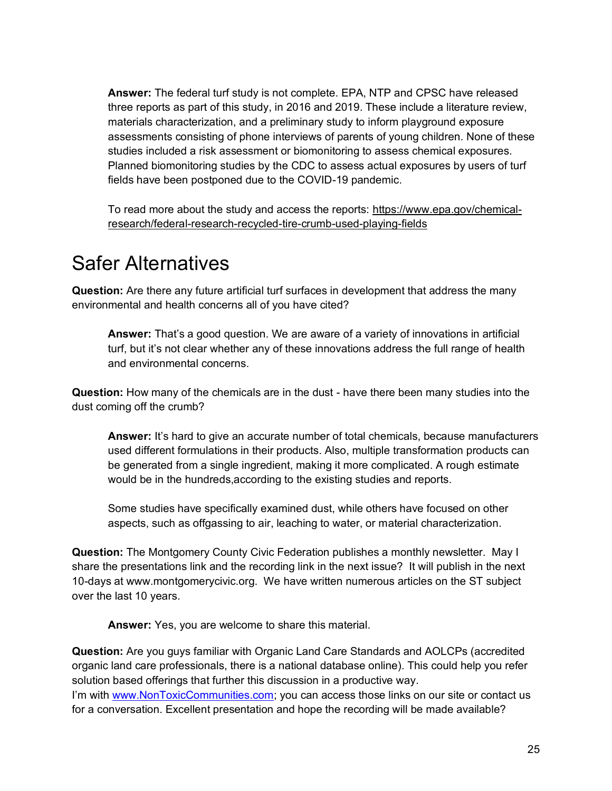**Answer:** The federal turf study is not complete. EPA, NTP and CPSC have released three reports as part of this study, in 2016 and 2019. These include a literature review, materials characterization, and a preliminary study to inform playground exposure assessments consisting of phone interviews of parents of young children. None of these studies included a risk assessment or biomonitoring to assess chemical exposures. Planned biomonitoring studies by the CDC to assess actual exposures by users of turf fields have been postponed due to the COVID-19 pandemic.

To read more about the study and access the reports: [https://www.epa.gov/chemical](https://www.epa.gov/chemical-research/federal-research-recycled-tire-crumb-used-playing-fields)[research/federal-research-recycled-tire-crumb-used-playing-fields](https://www.epa.gov/chemical-research/federal-research-recycled-tire-crumb-used-playing-fields)

#### <span id="page-24-0"></span>Safer Alternatives

**Question:** Are there any future artificial turf surfaces in development that address the many environmental and health concerns all of you have cited?

**Answer:** That's a good question. We are aware of a variety of innovations in artificial turf, but it's not clear whether any of these innovations address the full range of health and environmental concerns.

**Question:** How many of the chemicals are in the dust - have there been many studies into the dust coming off the crumb?

**Answer:** It's hard to give an accurate number of total chemicals, because manufacturers used different formulations in their products. Also, multiple transformation products can be generated from a single ingredient, making it more complicated. A rough estimate would be in the hundreds,according to the existing studies and reports.

Some studies have specifically examined dust, while others have focused on other aspects, such as offgassing to air, leaching to water, or material characterization.

**Question:** The Montgomery County Civic Federation publishes a monthly newsletter. May I share the presentations link and the recording link in the next issue? It will publish in the next 10-days at www.montgomerycivic.org. We have written numerous articles on the ST subject over the last 10 years.

**Answer:** Yes, you are welcome to share this material.

**Question:** Are you guys familiar with Organic Land Care Standards and AOLCPs (accredited organic land care professionals, there is a national database online). This could help you refer solution based offerings that further this discussion in a productive way. I'm with [www.NonToxicCommunities.com;](http://www.nontoxiccommunities.com/) you can access those links on our site or contact us for a conversation. Excellent presentation and hope the recording will be made available?